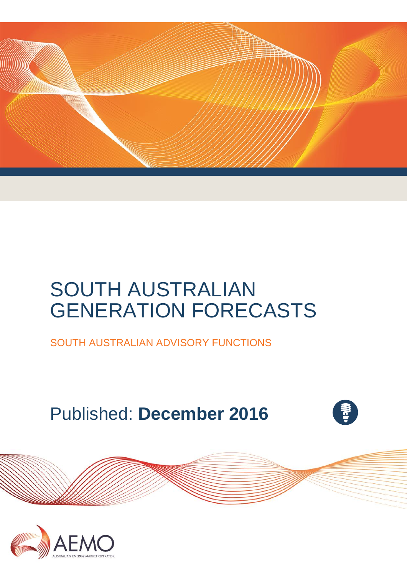

# SOUTH AUSTRALIAN GENERATION FORECASTS

SOUTH AUSTRALIAN ADVISORY FUNCTIONS

# Published: **December 2016**



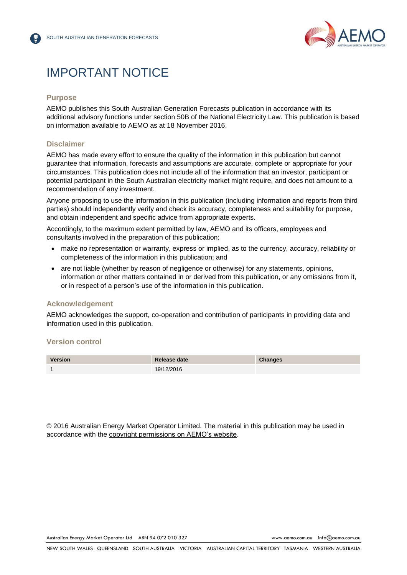

## IMPORTANT NOTICE

### **Purpose**

AEMO publishes this South Australian Generation Forecasts publication in accordance with its additional advisory functions under section 50B of the National Electricity Law. This publication is based on information available to AEMO as at 18 November 2016.

### **Disclaimer**

AEMO has made every effort to ensure the quality of the information in this publication but cannot guarantee that information, forecasts and assumptions are accurate, complete or appropriate for your circumstances. This publication does not include all of the information that an investor, participant or potential participant in the South Australian electricity market might require, and does not amount to a recommendation of any investment.

Anyone proposing to use the information in this publication (including information and reports from third parties) should independently verify and check its accuracy, completeness and suitability for purpose, and obtain independent and specific advice from appropriate experts.

Accordingly, to the maximum extent permitted by law, AEMO and its officers, employees and consultants involved in the preparation of this publication:

- make no representation or warranty, express or implied, as to the currency, accuracy, reliability or completeness of the information in this publication; and
- are not liable (whether by reason of negligence or otherwise) for any statements, opinions, information or other matters contained in or derived from this publication, or any omissions from it, or in respect of a person's use of the information in this publication.

### **Acknowledgement**

AEMO acknowledges the support, co-operation and contribution of participants in providing data and information used in this publication.

#### **Version control**



© 2016 Australian Energy Market Operator Limited. The material in this publication may be used in accordance with the [copyright permissions on AEMO's website.](http://aemo.com.au/Privacy_and_Legal_Notices/Copyright_Permissions_Notice)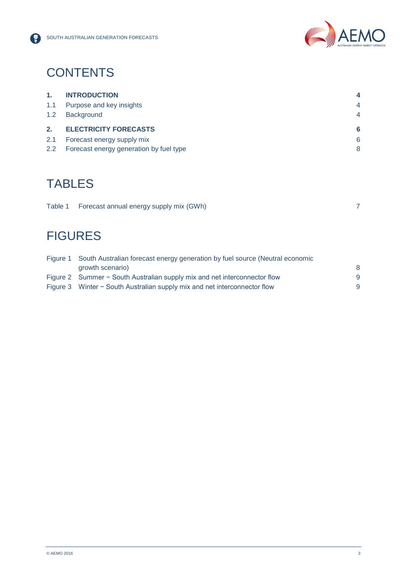

# **CONTENTS**

| 1.  | <b>INTRODUCTION</b>          | 4              |
|-----|------------------------------|----------------|
| 1.1 | Purpose and key insights     | $\overline{4}$ |
| 1.2 | <b>Background</b>            | $\overline{4}$ |
|     |                              |                |
| 2.  | <b>ELECTRICITY FORECASTS</b> | 6              |
| 2.1 | Forecast energy supply mix   | 6              |

# TABLES

|  |  | Table 1 Forecast annual energy supply mix (GWh) |  |
|--|--|-------------------------------------------------|--|
|--|--|-------------------------------------------------|--|

# **FIGURES**

| Figure 1 South Australian forecast energy generation by fuel source (Neutral economic |   |  |  |  |  |
|---------------------------------------------------------------------------------------|---|--|--|--|--|
| growth scenario)                                                                      | 8 |  |  |  |  |
| Figure 2 Summer – South Australian supply mix and net interconnector flow             | 9 |  |  |  |  |
| Figure 3 Winter - South Australian supply mix and net interconnector flow             | 9 |  |  |  |  |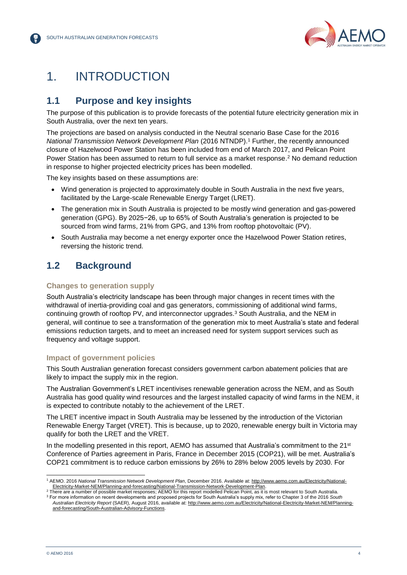

## <span id="page-3-0"></span>1. INTRODUCTION

### <span id="page-3-1"></span>**1.1 Purpose and key insights**

The purpose of this publication is to provide forecasts of the potential future electricity generation mix in South Australia, over the next ten years.

The projections are based on analysis conducted in the Neutral scenario Base Case for the 2016 *National Transmission Network Development Plan* (2016 NTNDP). <sup>1</sup> Further, the recently announced closure of Hazelwood Power Station has been included from end of March 2017, and Pelican Point Power Station has been assumed to return to full service as a market response.<sup>2</sup> No demand reduction in response to higher projected electricity prices has been modelled.

The key insights based on these assumptions are:

- Wind generation is projected to approximately double in South Australia in the next five years, facilitated by the Large-scale Renewable Energy Target (LRET).
- The generation mix in South Australia is projected to be mostly wind generation and gas-powered generation (GPG). By 2025−26, up to 65% of South Australia's generation is projected to be sourced from wind farms, 21% from GPG, and 13% from rooftop photovoltaic (PV).
- South Australia may become a net energy exporter once the Hazelwood Power Station retires, reversing the historic trend.

### <span id="page-3-2"></span>**1.2 Background**

### **Changes to generation supply**

South Australia's electricity landscape has been through major changes in recent times with the withdrawal of inertia-providing coal and gas generators, commissioning of additional wind farms, continuing growth of rooftop PV, and interconnector upgrades.<sup>3</sup> South Australia, and the NEM in general, will continue to see a transformation of the generation mix to meet Australia's state and federal emissions reduction targets, and to meet an increased need for system support services such as frequency and voltage support.

### **Impact of government policies**

This South Australian generation forecast considers government carbon abatement policies that are likely to impact the supply mix in the region.

The Australian Government's LRET incentivises renewable generation across the NEM, and as South Australia has good quality wind resources and the largest installed capacity of wind farms in the NEM, it is expected to contribute notably to the achievement of the LRET.

The LRET incentive impact in South Australia may be lessened by the introduction of the Victorian Renewable Energy Target (VRET). This is because, up to 2020, renewable energy built in Victoria may qualify for both the LRET and the VRET.

In the modelling presented in this report, AEMO has assumed that Australia's commitment to the 21<sup>st</sup> Conference of Parties agreement in Paris, France in December 2015 (COP21), will be met. Australia's COP21 commitment is to reduce carbon emissions by 26% to 28% below 2005 levels by 2030. For

l

<sup>1</sup> AEMO. 2016 *National Transmission Network Development Plan*, December 2016. Available at[: http://www.aemo.com.au/Electricity/National-](http://www.aemo.com.au/Electricity/National-Electricity-Market-NEM/Planning-and-forecasting/National-Transmission-Network-Development-Plan)[Electricity-Market-NEM/Planning-and-forecasting/National-Transmission-Network-Development-Plan.](http://www.aemo.com.au/Electricity/National-Electricity-Market-NEM/Planning-and-forecasting/National-Transmission-Network-Development-Plan)

<sup>&</sup>lt;sup>2</sup> There are a number of possible market responses; AEMO for this report modelled Pelican Point, as it is most relevant to South Australia. <sup>3</sup> For more information on recent developments and proposed projects for South Australia's supply mix, refer to Chapter 3 of the 2016 *South* 

*Australian Electricity Report* (SAER), August 2016, available at[: http://www.aemo.com.au/Electricity/National-Electricity-Market-NEM/Planning](http://www.aemo.com.au/Electricity/National-Electricity-Market-NEM/Planning-and-forecasting/South-Australian-Advisory-Functions)[and-forecasting/South-Australian-Advisory-Functions.](http://www.aemo.com.au/Electricity/National-Electricity-Market-NEM/Planning-and-forecasting/South-Australian-Advisory-Functions)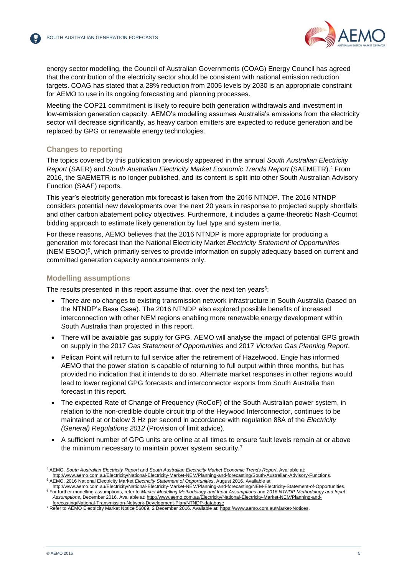

energy sector modelling, the Council of Australian Governments (COAG) Energy Council has agreed that the contribution of the electricity sector should be consistent with national emission reduction targets. COAG has stated that a 28% reduction from 2005 levels by 2030 is an appropriate constraint for AEMO to use in its ongoing forecasting and planning processes.

Meeting the COP21 commitment is likely to require both generation withdrawals and investment in low-emission generation capacity. AEMO's modelling assumes Australia's emissions from the electricity sector will decrease significantly, as heavy carbon emitters are expected to reduce generation and be replaced by GPG or renewable energy technologies.

### **Changes to reporting**

The topics covered by this publication previously appeared in the annual *South Australian Electricity Report* (SAER) and *South Australian Electricity Market Economic Trends Report* (SAEMETR).<sup>4</sup> From 2016, the SAEMETR is no longer published, and its content is split into other South Australian Advisory Function (SAAF) reports.

This year's electricity generation mix forecast is taken from the 2016 NTNDP. The 2016 NTNDP considers potential new developments over the next 20 years in response to projected supply shortfalls and other carbon abatement policy objectives. Furthermore, it includes a game-theoretic Nash-Cournot bidding approach to estimate likely generation by fuel type and system inertia.

For these reasons, AEMO believes that the 2016 NTNDP is more appropriate for producing a generation mix forecast than the National Electricity Market *Electricity Statement of Opportunities* (NEM ESOO)<sup>5</sup> , which primarily serves to provide information on supply adequacy based on current and committed generation capacity announcements only.

### **Modelling assumptions**

The results presented in this report assume that, over the next ten years $6$ :

- There are no changes to existing transmission network infrastructure in South Australia (based on the NTNDP's Base Case). The 2016 NTNDP also explored possible benefits of increased interconnection with other NEM regions enabling more renewable energy development within South Australia than projected in this report.
- There will be available gas supply for GPG. AEMO will analyse the impact of potential GPG growth on supply in the 2017 *Gas Statement of Opportunities* and 2017 *Victorian Gas Planning Report*.
- Pelican Point will return to full service after the retirement of Hazelwood. Engie has informed AEMO that the power station is capable of returning to full output within three months, but has provided no indication that it intends to do so. Alternate market responses in other regions would lead to lower regional GPG forecasts and interconnector exports from South Australia than forecast in this report.
- The expected Rate of Change of Frequency (RoCoF) of the South Australian power system, in relation to the non-credible double circuit trip of the Heywood Interconnector, continues to be maintained at or below 3 Hz per second in accordance with regulation 88A of the *Electricity (General) Regulations 2012* (Provision of limit advice).
- A sufficient number of GPG units are online at all times to ensure fault levels remain at or above the minimum necessary to maintain power system security.<sup>7</sup>

l <sup>4</sup> AEMO. *South Australian Electricity Report* and *South Australian Electricity Market Economic Trends Report*. Available at: [http://www.aemo.com.au/Electricity/National-Electricity-Market-NEM/Planning-and-forecasting/South-Australian-Advisory-Functions.](http://www.aemo.com.au/Electricity/National-Electricity-Market-NEM/Planning-and-forecasting/South-Australian-Advisory-Functions)

<sup>5</sup> AEMO. 2016 National Electricity Market *Electricity Statement of Opportunities*, August 2016. Available at:

[http://www.aemo.com.au/Electricity/National-Electricity-Market-NEM/Planning-and-forecasting/NEM-Electricity-Statement-of-Opportunities.](http://www.aemo.com.au/Electricity/National-Electricity-Market-NEM/Planning-and-forecasting/NEM-Electricity-Statement-of-Opportunities) <sup>6</sup> For further modelling assumptions, refer to *Market Modelling Methodology and Input Assumptions* and *2016 NTNDP Methodology and Input Assumptions*, December 2016. Available at: [http://www.aemo.com.au/Electricity/National-Electricity-Market-NEM/Planning-and](http://www.aemo.com.au/Electricity/National-Electricity-Market-NEM/Planning-and-forecasting/National-Transmission-Network-Development-Plan/NTNDP-database)[forecasting/National-Transmission-Network-Development-Plan/NTNDP-database](http://www.aemo.com.au/Electricity/National-Electricity-Market-NEM/Planning-and-forecasting/National-Transmission-Network-Development-Plan/NTNDP-database)

<sup>7</sup> Refer to AEMO Electricity Market Notice 56089, 2 December 2016. Available at: [https://www.aemo.com.au/Market-Notices.](https://www.aemo.com.au/Market-Notices)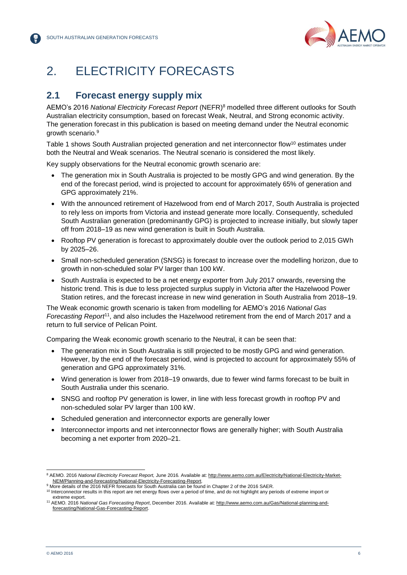

# <span id="page-5-0"></span>2. ELECTRICITY FORECASTS

### <span id="page-5-1"></span>**2.1 Forecast energy supply mix**

AEMO's 2016 *National Electricity Forecast Report* (NEFR) <sup>8</sup> modelled three different outlooks for South Australian electricity consumption, based on forecast Weak, Neutral, and Strong economic activity. The generation forecast in this publication is based on meeting demand under the Neutral economic growth scenario. 9

Table 1 shows South Australian projected generation and net interconnector flow<sup>10</sup> estimates under both the Neutral and Weak scenarios. The Neutral scenario is considered the most likely.

Key supply observations for the Neutral economic growth scenario are:

- The generation mix in South Australia is projected to be mostly GPG and wind generation. By the end of the forecast period, wind is projected to account for approximately 65% of generation and GPG approximately 21%.
- With the announced retirement of Hazelwood from end of March 2017, South Australia is projected to rely less on imports from Victoria and instead generate more locally. Consequently, scheduled South Australian generation (predominantly GPG) is projected to increase initially, but slowly taper off from 2018–19 as new wind generation is built in South Australia.
- Rooftop PV generation is forecast to approximately double over the outlook period to 2,015 GWh by 2025–26.
- Small non-scheduled generation (SNSG) is forecast to increase over the modelling horizon, due to growth in non-scheduled solar PV larger than 100 kW.
- South Australia is expected to be a net energy exporter from July 2017 onwards, reversing the historic trend. This is due to less projected surplus supply in Victoria after the Hazelwood Power Station retires, and the forecast increase in new wind generation in South Australia from 2018–19.

The Weak economic growth scenario is taken from modelling for AEMO's 2016 *National Gas Forecasting Report*<sup>11</sup>, and also includes the Hazelwood retirement from the end of March 2017 and a return to full service of Pelican Point.

Comparing the Weak economic growth scenario to the Neutral, it can be seen that:

- The generation mix in South Australia is still projected to be mostly GPG and wind generation. However, by the end of the forecast period, wind is projected to account for approximately 55% of generation and GPG approximately 31%.
- Wind generation is lower from 2018–19 onwards, due to fewer wind farms forecast to be built in South Australia under this scenario.
- SNSG and rooftop PV generation is lower, in line with less forecast growth in rooftop PV and non-scheduled solar PV larger than 100 kW.
- Scheduled generation and interconnector exports are generally lower
- Interconnector imports and net interconnector flows are generally higher; with South Australia becoming a net exporter from 2020–21.

l <sup>8</sup> AEMO. 2016 *National Electricity Forecast Report,* June 2016*.* Available at: [http://www.aemo.com.au/Electricity/National-Electricity-Market-](http://www.aemo.com.au/Electricity/National-Electricity-Market-NEM/Planning-and-forecasting/National-Electricity-Forecasting-Report)[NEM/Planning-and-forecasting/National-Electricity-Forecasting-Report.](http://www.aemo.com.au/Electricity/National-Electricity-Market-NEM/Planning-and-forecasting/National-Electricity-Forecasting-Report)

<sup>9</sup> More details of the 2016 NEFR forecasts for South Australia can be found in Chapter 2 of the 2016 SAER.

<sup>&</sup>lt;sup>10</sup> Interconnector results in this report are net energy flows over a period of time, and do not highlight any periods of extreme import or extreme export.

<sup>11</sup> AEMO. 2016 *National Gas Forecasting Report*, December 2016. Available at[: http://www.aemo.com.au/Gas/National-planning-and](http://www.aemo.com.au/Gas/National-planning-and-forecasting/National-Gas-Forecasting-Report)[forecasting/National-Gas-Forecasting-Report.](http://www.aemo.com.au/Gas/National-planning-and-forecasting/National-Gas-Forecasting-Report)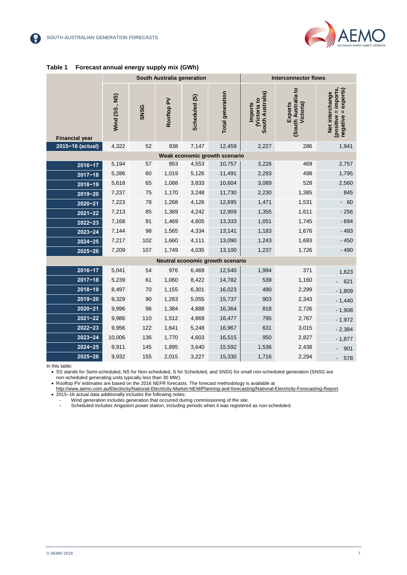

|                                  |               |             | South Australia generation |               |                               |                                                   | <b>Interconnector flows</b>                       |                                                                   |
|----------------------------------|---------------|-------------|----------------------------|---------------|-------------------------------|---------------------------------------------------|---------------------------------------------------|-------------------------------------------------------------------|
| <b>Financial year</b>            | Wind (SS, NS) | <b>SNSG</b> | Rooftop PV                 | Scheduled (S) | <b>Total generation</b>       | South Australia)<br><b>Wictoria to</b><br>Imports | South Australia to<br><b>Exports</b><br>Victoria) | (positive = imports,<br>= exports)<br>Net interchange<br>negative |
| 2015-16 (actual)                 | 4,322         | 52          | 938                        | 7,147         | 12,459                        | 2,227                                             | 286                                               | 1,941                                                             |
|                                  |               |             |                            |               | Weak economic growth scenario |                                                   |                                                   |                                                                   |
| $2016 - 17$                      | 5,194         | 57          | 953                        | 4,553         | 10,757                        | 3,226                                             | 469                                               | 2,757                                                             |
| $2017 - 18$                      | 5,286         | 60          | 1,019                      | 5,126         | 11,491                        | 2,293                                             | 498                                               | 1,795                                                             |
| $2018 - 19$                      | 5,618         | 65          | 1,088                      | 3,833         | 10,604                        | 3,089                                             | 528                                               | 2,560                                                             |
| $2019 - 20$                      | 7,237         | 75          | 1,170                      | 3,248         | 11,730                        | 2,230                                             | 1,385                                             | 845                                                               |
| $2020 - 21$                      | 7,223         | 78          | 1,268                      | 4,126         | 12,695                        | 1,471                                             | 1,531                                             | $-60$                                                             |
| $2021 - 22$                      | 7,213         | 85          | 1,369                      | 4,242         | 12,909                        | 1,355                                             | 1,611                                             | $-256$                                                            |
| $2022 - 23$                      | 7,168         | 91          | 1,469                      | 4,605         | 13,333                        | 1,051                                             | 1,745                                             | $-694$                                                            |
| $2023 - 24$                      | 7,144         | 98          | 1,565                      | 4,334         | 13,141                        | 1,183                                             | 1,676                                             | $-493$                                                            |
| $2024 - 25$                      | 7,217         | 102         | 1,660                      | 4,111         | 13,090                        | 1,243                                             | 1,693                                             | $-450$                                                            |
| $2025 - 26$                      | 7,209         | 107         | 1,749                      | 4,035         | 13,100                        | 1,237                                             | 1,726                                             | $-490$                                                            |
| Neutral economic growth scenario |               |             |                            |               |                               |                                                   |                                                   |                                                                   |
| $2016 - 17$                      | 5,041         | 54          | 976                        | 6,469         | 12,540                        | 1,994                                             | 371                                               | 1,623                                                             |
| $2017 - 18$                      | 5,239         | 61          | 1,060                      | 8,422         | 14,782                        | 539                                               | 1,160                                             | 621                                                               |
| $2018 - 19$                      | 8,497         | 70          | 1,155                      | 6,301         | 16,023                        | 490                                               | 2,299                                             | $-1,809$                                                          |
| $2019 - 20$                      | 9,329         | 90          | 1,263                      | 5,055         | 15,737                        | 903                                               | 2,343                                             | $-1,440$                                                          |
| $2020 - 21$                      | 9,996         | 96          | 1,384                      | 4,888         | 16,364                        | 818                                               | 2,726                                             | $-1,908$                                                          |
| $2021 - 22$                      | 9,986         | 110         | 1,512                      | 4,869         | 16,477                        | 795                                               | 2,767                                             | $-1,972$                                                          |
| $2022 - 23$                      | 9,956         | 122         | 1,641                      | 5,248         | 16,967                        | 631                                               | 3,015                                             | $-2,384$                                                          |
| $2023 - 24$                      | 10,006        | 136         | 1,770                      | 4,603         | 16,515                        | 950                                               | 2,827                                             | $-1,877$                                                          |
| $2024 - 25$                      | 9,911         | 145         | 1,895                      | 3,640         | 15,592                        | 1,536                                             | 2,438                                             | 901                                                               |
| $2025 - 26$                      | 9,932         | 155         | 2,015                      | 3,227         | 15,330                        | 1,716                                             | 2,294                                             | 578                                                               |

#### <span id="page-6-0"></span>**Table 1 Forecast annual energy supply mix (GWh)**

In this table:

SS stands for Semi-scheduled, NS for Non-scheduled, S for Scheduled, and SNSG for small non-scheduled generation (SNSG are

non-scheduled generating units typically less than 30 MW).

• Rooftop PV estimates are based on the 2016 NEFR forecasts. The forecast methodology is available at

[http://www.aemo.com.au/Electricity/National-Electricity-Market-NEM/Planning-and-forecasting/National-Electricity-Forecasting-Report.](http://www.aemo.com.au/Electricity/National-Electricity-Market-NEM/Planning-and-forecasting/National-Electricity-Forecasting-Report) 2015–16 actual data additionally includes the following notes:

- Wind generation includes generation that occurred during commissioning of the site.

- Scheduled includes Angaston power station, including periods when it was registered as non-scheduled.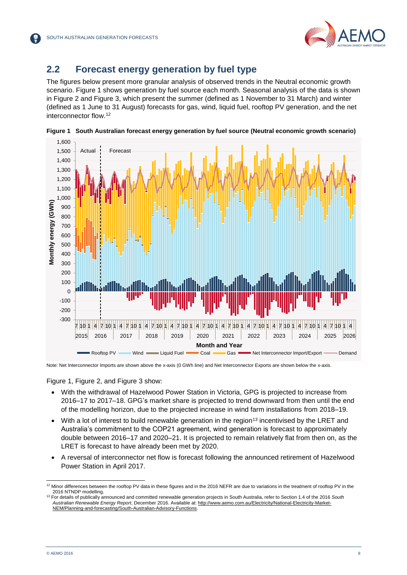

### <span id="page-7-0"></span>**2.2 Forecast energy generation by fuel type**

The figures below present more granular analysis of observed trends in the Neutral economic growth scenario. Figure 1 shows generation by fuel source each month. Seasonal analysis of the data is shown in Figure 2 and Figure 3, which present the summer (defined as 1 November to 31 March) and winter (defined as 1 June to 31 August) forecasts for gas, wind, liquid fuel, rooftop PV generation, and the net interconnector flow.<sup>12</sup>



<span id="page-7-1"></span>**Figure 1 South Australian forecast energy generation by fuel source (Neutral economic growth scenario)**

Note: Net Interconnector Imports are shown above the x-axis (0 GWh line) and Net Interconnector Exports are shown below the x-axis.

### Figure 1, Figure 2, and Figure 3 show:

- With the withdrawal of Hazelwood Power Station in Victoria, GPG is projected to increase from 2016–17 to 2017–18. GPG's market share is projected to trend downward from then until the end of the modelling horizon, due to the projected increase in wind farm installations from 2018–19.
- With a lot of interest to build renewable generation in the region<sup>13</sup> incentivised by the LRET and Australia's commitment to the COP21 agreement, wind generation is forecast to approximately double between 2016–17 and 2020–21. It is projected to remain relatively flat from then on, as the LRET is forecast to have already been met by 2020.
- A reversal of interconnector net flow is forecast following the announced retirement of Hazelwood Power Station in April 2017.

l  $12$  Minor differences between the rooftop PV data in these figures and in the 2016 NEFR are due to variations in the treatment of rooftop PV in the 2016 NTNDP modelling.

<sup>13</sup> For details of publically announced and committed renewable generation projects in South Australia, refer to Section 1.4 of the 2016 *South Australian Renewable Energy Report*, December 2016. Available at: [http://www.aemo.com.au/Electricity/National-Electricity-Market-](http://www.aemo.com.au/Electricity/National-Electricity-Market-NEM/Planning-and-forecasting/South-Australian-Advisory-Functions)[NEM/Planning-and-forecasting/South-Australian-Advisory-Functions.](http://www.aemo.com.au/Electricity/National-Electricity-Market-NEM/Planning-and-forecasting/South-Australian-Advisory-Functions)